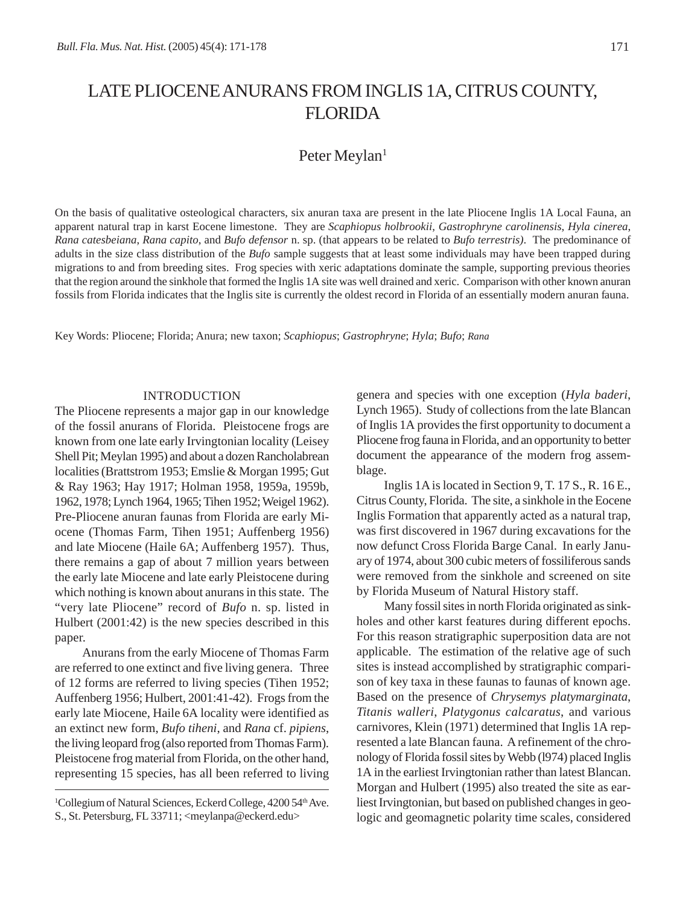# LATE PLIOCENE ANURANS FROM INGLIS 1A, CITRUS COUNTY, FLORIDA

## Peter Meylan<sup>1</sup>

On the basis of qualitative osteological characters, six anuran taxa are present in the late Pliocene Inglis 1A Local Fauna, an apparent natural trap in karst Eocene limestone. They are *Scaphiopus holbrookii*, *Gastrophryne carolinensis*, *Hyla cinerea*, *Rana catesbeiana*, *Rana capito*, and *Bufo defensor* n. sp. (that appears to be related to *Bufo terrestris)*. The predominance of adults in the size class distribution of the *Bufo* sample suggests that at least some individuals may have been trapped during migrations to and from breeding sites. Frog species with xeric adaptations dominate the sample, supporting previous theories that the region around the sinkhole that formed the Inglis 1A site was well drained and xeric. Comparison with other known anuran fossils from Florida indicates that the Inglis site is currently the oldest record in Florida of an essentially modern anuran fauna.

Key Words: Pliocene; Florida; Anura; new taxon; *Scaphiopus*; *Gastrophryne*; *Hyla*; *Bufo*; *Rana*

### INTRODUCTION

The Pliocene represents a major gap in our knowledge of the fossil anurans of Florida. Pleistocene frogs are known from one late early Irvingtonian locality (Leisey Shell Pit; Meylan 1995) and about a dozen Rancholabrean localities (Brattstrom 1953; Emslie & Morgan 1995; Gut & Ray 1963; Hay 1917; Holman 1958, 1959a, 1959b, 1962, 1978; Lynch 1964, 1965; Tihen 1952; Weigel 1962). Pre-Pliocene anuran faunas from Florida are early Miocene (Thomas Farm, Tihen 1951; Auffenberg 1956) and late Miocene (Haile 6A; Auffenberg 1957). Thus, there remains a gap of about 7 million years between the early late Miocene and late early Pleistocene during which nothing is known about anurans in this state. The "very late Pliocene" record of *Bufo* n. sp. listed in Hulbert (2001:42) is the new species described in this paper.

Anurans from the early Miocene of Thomas Farm are referred to one extinct and five living genera. Three of 12 forms are referred to living species (Tihen 1952; Auffenberg 1956; Hulbert, 2001:41-42). Frogs from the early late Miocene, Haile 6A locality were identified as an extinct new form, *Bufo tiheni*, and *Rana* cf. *pipiens*, the living leopard frog (also reported from Thomas Farm). Pleistocene frog material from Florida, on the other hand, representing 15 species, has all been referred to living genera and species with one exception (*Hyla baderi*, Lynch 1965). Study of collections from the late Blancan of Inglis 1A provides the first opportunity to document a Pliocene frog fauna in Florida, and an opportunity to better document the appearance of the modern frog assemblage.

Inglis 1A is located in Section 9, T. 17 S., R. 16 E., Citrus County, Florida. The site, a sinkhole in the Eocene Inglis Formation that apparently acted as a natural trap, was first discovered in 1967 during excavations for the now defunct Cross Florida Barge Canal. In early January of 1974, about 300 cubic meters of fossiliferous sands were removed from the sinkhole and screened on site by Florida Museum of Natural History staff.

Many fossil sites in north Florida originated as sinkholes and other karst features during different epochs. For this reason stratigraphic superposition data are not applicable. The estimation of the relative age of such sites is instead accomplished by stratigraphic comparison of key taxa in these faunas to faunas of known age. Based on the presence of *Chrysemys platymarginata*, *Titanis walleri*, *Platygonus calcaratus*, and various carnivores, Klein (1971) determined that Inglis 1A represented a late Blancan fauna. A refinement of the chronology of Florida fossil sites by Webb (l974) placed Inglis 1A in the earliest Irvingtonian rather than latest Blancan. Morgan and Hulbert (1995) also treated the site as earliest Irvingtonian, but based on published changes in geologic and geomagnetic polarity time scales, considered

<sup>&</sup>lt;sup>1</sup>Collegium of Natural Sciences, Eckerd College, 4200 54<sup>th</sup> Ave. S., St. Petersburg, FL 33711; <meylanpa@eckerd.edu>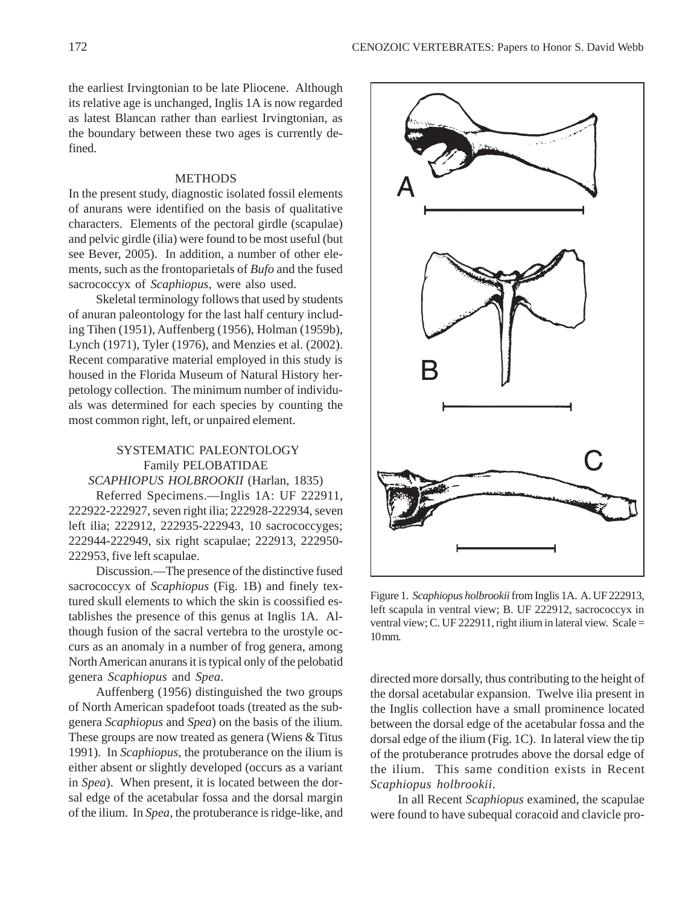the earliest Irvingtonian to be late Pliocene. Although its relative age is unchanged, Inglis 1A is now regarded as latest Blancan rather than earliest Irvingtonian, as the boundary between these two ages is currently defined.

### **METHODS**

In the present study, diagnostic isolated fossil elements of anurans were identified on the basis of qualitative characters. Elements of the pectoral girdle (scapulae) and pelvic girdle (ilia) were found to be most useful (but see Bever, 2005). In addition, a number of other elements, such as the frontoparietals of *Bufo* and the fused sacrococcyx of *Scaphiopus*, were also used.

Skeletal terminology follows that used by students of anuran paleontology for the last half century including Tihen (1951), Auffenberg (1956), Holman (1959b), Lynch (1971), Tyler (1976), and Menzies et al. (2002). Recent comparative material employed in this study is housed in the Florida Museum of Natural History herpetology collection. The minimum number of individuals was determined for each species by counting the most common right, left, or unpaired element.

### SYSTEMATIC PALEONTOLOGY Family PELOBATIDAE *SCAPHIOPUS HOLBROOKII* (Harlan, 1835)

Referred Specimens.—Inglis 1A: UF 222911, 222922-222927, seven right ilia; 222928-222934, seven left ilia; 222912, 222935-222943, 10 sacrococcyges; 222944-222949, six right scapulae; 222913, 222950- 222953, five left scapulae.

Discussion.—The presence of the distinctive fused sacrococcyx of *Scaphiopus* (Fig. 1B) and finely textured skull elements to which the skin is coossified establishes the presence of this genus at Inglis 1A. Although fusion of the sacral vertebra to the urostyle occurs as an anomaly in a number of frog genera, among North American anurans it is typical only of the pelobatid genera *Scaphiopus* and *Spea*.

Auffenberg (1956) distinguished the two groups of North American spadefoot toads (treated as the subgenera *Scaphiopus* and *Spea*) on the basis of the ilium. These groups are now treated as genera (Wiens & Titus 1991). In *Scaphiopus*, the protuberance on the ilium is either absent or slightly developed (occurs as a variant in *Spea*). When present, it is located between the dorsal edge of the acetabular fossa and the dorsal margin of the ilium. In *Spea*, the protuberance is ridge-like, and



Figure 1. *Scaphiopus holbrookii* from Inglis 1A. A. UF 222913, left scapula in ventral view; B. UF 222912, sacrococcyx in ventral view; C. UF 222911, right ilium in lateral view. Scale = 10 mm.

directed more dorsally, thus contributing to the height of the dorsal acetabular expansion. Twelve ilia present in the Inglis collection have a small prominence located between the dorsal edge of the acetabular fossa and the dorsal edge of the ilium (Fig. 1C). In lateral view the tip of the protuberance protrudes above the dorsal edge of the ilium. This same condition exists in Recent *Scaphiopus holbrookii*.

In all Recent *Scaphiopus* examined, the scapulae were found to have subequal coracoid and clavicle pro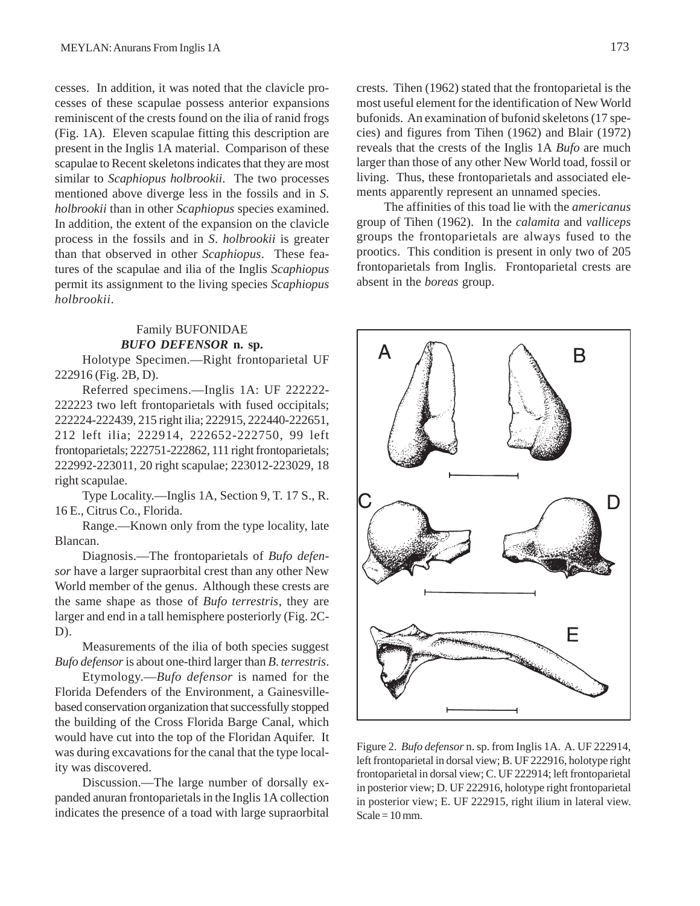cesses. In addition, it was noted that the clavicle processes of these scapulae possess anterior expansions reminiscent of the crests found on the ilia of ranid frogs (Fig. 1A). Eleven scapulae fitting this description are present in the Inglis 1A material. Comparison of these scapulae to Recent skeletons indicates that they are most similar to *Scaphiopus holbrookii*. The two processes mentioned above diverge less in the fossils and in *S*. *holbrookii* than in other *Scaphiopus* species examined. In addition, the extent of the expansion on the clavicle process in the fossils and in *S*. *holbrookii* is greater than that observed in other *Scaphiopus*. These features of the scapulae and ilia of the Inglis *Scaphiopus* permit its assignment to the living species *Scaphiopus holbrookii*.

### Family BUFONIDAE *BUFO DEFENSOR* **n. sp.**

Holotype Specimen.—Right frontoparietal UF 222916 (Fig. 2B, D).

Referred specimens.—Inglis 1A: UF 222222- 222223 two left frontoparietals with fused occipitals; 222224-222439, 215 right ilia; 222915, 222440-222651, 212 left ilia; 222914, 222652-222750, 99 left frontoparietals; 222751-222862, 111 right frontoparietals; 222992-223011, 20 right scapulae; 223012-223029, 18 right scapulae.

Type Locality.—Inglis 1A, Section 9, T. 17 S., R. 16 E., Citrus Co., Florida.

Range.—Known only from the type locality, late Blancan.

Diagnosis.—The frontoparietals of *Bufo defensor* have a larger supraorbital crest than any other New World member of the genus. Although these crests are the same shape as those of *Bufo terrestris*, they are larger and end in a tall hemisphere posteriorly (Fig. 2C- $D$ ).

Measurements of the ilia of both species suggest *Bufo defensor* is about one-third larger than *B*. *terrestris*.

Etymology.—*Bufo defensor* is named for the Florida Defenders of the Environment, a Gainesvillebased conservation organization that successfully stopped the building of the Cross Florida Barge Canal, which would have cut into the top of the Floridan Aquifer. It was during excavations for the canal that the type locality was discovered.

Discussion.—The large number of dorsally expanded anuran frontoparietals in the Inglis 1A collection indicates the presence of a toad with large supraorbital crests. Tihen (1962) stated that the frontoparietal is the most useful element for the identification of New World bufonids. An examination of bufonid skeletons (17 species) and figures from Tihen (1962) and Blair (1972) reveals that the crests of the Inglis 1A *Bufo* are much larger than those of any other New World toad, fossil or living. Thus, these frontoparietals and associated elements apparently represent an unnamed species.

The affinities of this toad lie with the *americanus* group of Tihen (1962). In the *calamita* and *valliceps* groups the frontoparietals are always fused to the prootics. This condition is present in only two of 205 frontoparietals from Inglis. Frontoparietal crests are absent in the *boreas* group.



Figure 2. *Bufo defensor* n. sp. from Inglis 1A. A. UF 222914, left frontoparietal in dorsal view; B. UF 222916, holotype right frontoparietal in dorsal view; C. UF 222914; left frontoparietal in posterior view; D. UF 222916, holotype right frontoparietal in posterior view; E. UF 222915, right ilium in lateral view.  $Scale = 10$  mm.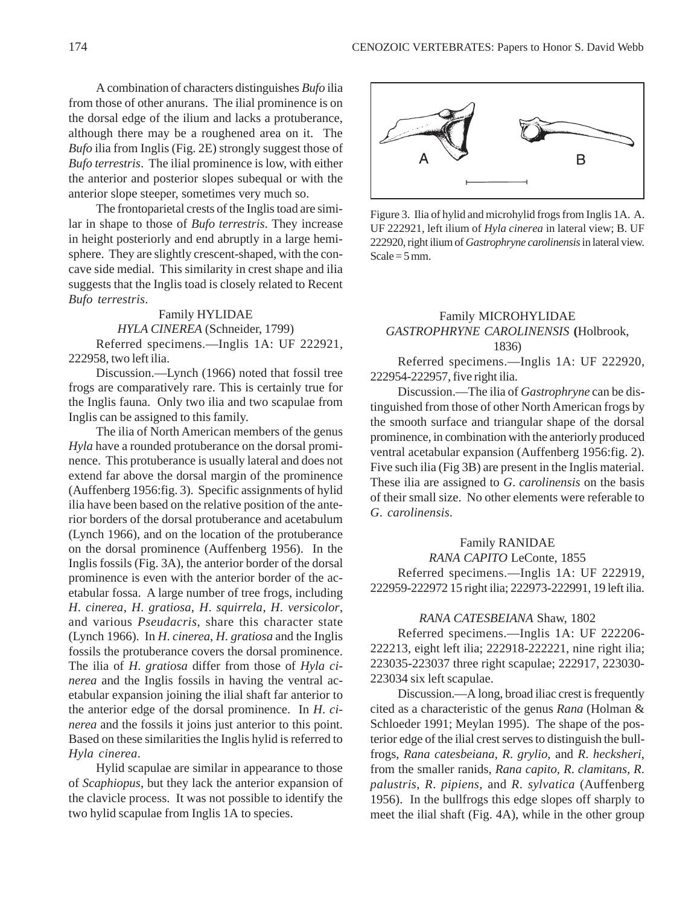A combination of characters distinguishes *Bufo* ilia from those of other anurans. The ilial prominence is on the dorsal edge of the ilium and lacks a protuberance, although there may be a roughened area on it. The *Bufo* ilia from Inglis (Fig. 2E) strongly suggest those of *Bufo terrestris*. The ilial prominence is low, with either the anterior and posterior slopes subequal or with the anterior slope steeper, sometimes very much so.

The frontoparietal crests of the Inglis toad are similar in shape to those of *Bufo terrestris*. They increase in height posteriorly and end abruptly in a large hemisphere. They are slightly crescent-shaped, with the concave side medial. This similarity in crest shape and ilia suggests that the Inglis toad is closely related to Recent *Bufo terrestris*.

### Family HYLIDAE *HYLA CINEREA* (Schneider, 1799)

Referred specimens.—Inglis 1A: UF 222921, 222958, two left ilia.

Discussion.—Lynch (1966) noted that fossil tree frogs are comparatively rare. This is certainly true for the Inglis fauna. Only two ilia and two scapulae from Inglis can be assigned to this family.

The ilia of North American members of the genus *Hyla* have a rounded protuberance on the dorsal prominence. This protuberance is usually lateral and does not extend far above the dorsal margin of the prominence (Auffenberg 1956:fig. 3). Specific assignments of hylid ilia have been based on the relative position of the anterior borders of the dorsal protuberance and acetabulum (Lynch 1966), and on the location of the protuberance on the dorsal prominence (Auffenberg 1956). In the Inglis fossils (Fig. 3A), the anterior border of the dorsal prominence is even with the anterior border of the acetabular fossa. A large number of tree frogs, including *H*. *cinerea*, *H*. *gratiosa*, *H*. *squirrela*, *H*. *versicolor*, and various *Pseudacris*, share this character state (Lynch 1966). In *H*. *cinerea*, *H*. *gratiosa* and the Inglis fossils the protuberance covers the dorsal prominence. The ilia of *H*. *gratiosa* differ from those of *Hyla cinerea* and the Inglis fossils in having the ventral acetabular expansion joining the ilial shaft far anterior to the anterior edge of the dorsal prominence. In *H*. *cinerea* and the fossils it joins just anterior to this point. Based on these similarities the Inglis hylid is referred to *Hyla cinerea*.

Hylid scapulae are similar in appearance to those of *Scaphiopus*, but they lack the anterior expansion of the clavicle process. It was not possible to identify the two hylid scapulae from Inglis 1A to species.



Figure 3. Ilia of hylid and microhylid frogs from Inglis 1A. A. UF 222921, left ilium of *Hyla cinerea* in lateral view; B. UF 222920, right ilium of *Gastrophryne carolinensis* in lateral view. Scale =  $5 \text{ mm}$ .

### Family MICROHYLIDAE *GASTROPHRYNE CAROLINENSIS* **(**Holbrook, 1836)

Referred specimens.—Inglis 1A: UF 222920, 222954-222957, five right ilia.

Discussion.—The ilia of *Gastrophryne* can be distinguished from those of other North American frogs by the smooth surface and triangular shape of the dorsal prominence, in combination with the anteriorly produced ventral acetabular expansion (Auffenberg 1956:fig. 2). Five such ilia (Fig 3B) are present in the Inglis material. These ilia are assigned to *G*. *carolinensis* on the basis of their small size. No other elements were referable to *G*. *carolinensis*.

### Family RANIDAE

*RANA CAPITO* LeConte, 1855 Referred specimens.—Inglis 1A: UF 222919, 222959-222972 15 right ilia; 222973-222991, 19 left ilia.

### *RANA CATESBEIANA* Shaw, 1802

Referred specimens.—Inglis 1A: UF 222206- 222213, eight left ilia; 222918-222221, nine right ilia; 223035-223037 three right scapulae; 222917, 223030- 223034 six left scapulae.

Discussion.—A long, broad iliac crest is frequently cited as a characteristic of the genus *Rana* (Holman & Schloeder 1991; Meylan 1995). The shape of the posterior edge of the ilial crest serves to distinguish the bullfrogs, *Rana catesbeiana*, *R*. *grylio*, and *R*. *hecksheri*, from the smaller ranids, *Rana capito, R*. *clamitans, R*. *palustris*, *R*. *pipiens,* and *R*. *sylvatica* (Auffenberg 1956). In the bullfrogs this edge slopes off sharply to meet the ilial shaft (Fig. 4A), while in the other group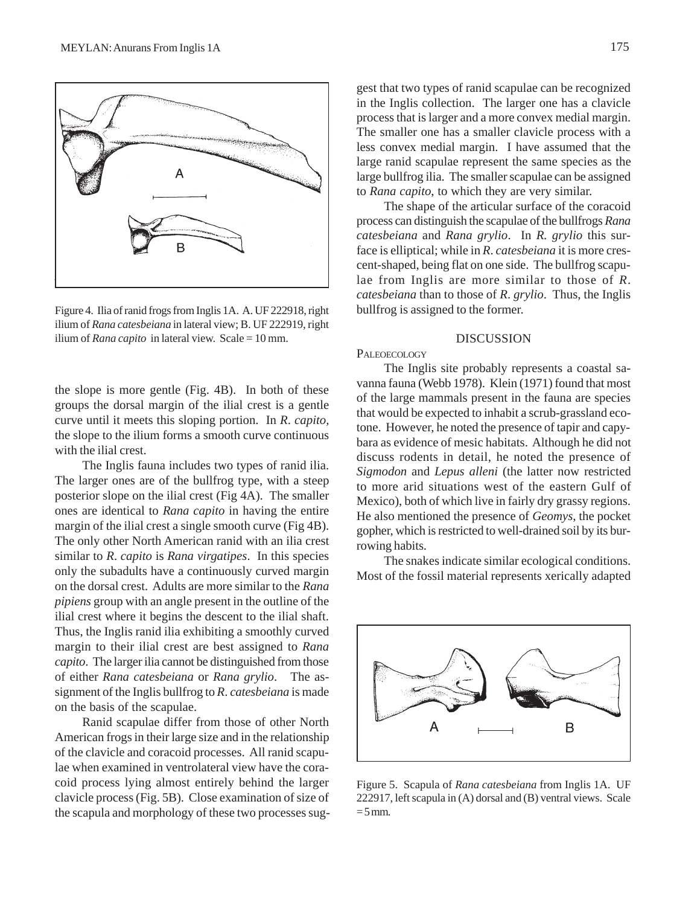

Figure 4. Ilia of ranid frogs from Inglis 1A. A. UF 222918, right ilium of *Rana catesbeiana* in lateral view; B. UF 222919, right ilium of *Rana capito* in lateral view. Scale = 10 mm.

the slope is more gentle (Fig. 4B). In both of these groups the dorsal margin of the ilial crest is a gentle curve until it meets this sloping portion. In *R*. *capito,* the slope to the ilium forms a smooth curve continuous with the ilial crest.

The Inglis fauna includes two types of ranid ilia. The larger ones are of the bullfrog type, with a steep posterior slope on the ilial crest (Fig 4A). The smaller ones are identical to *Rana capito* in having the entire margin of the ilial crest a single smooth curve (Fig 4B). The only other North American ranid with an ilia crest similar to *R*. *capito* is *Rana virgatipes*. In this species only the subadults have a continuously curved margin on the dorsal crest. Adults are more similar to the *Rana pipiens* group with an angle present in the outline of the ilial crest where it begins the descent to the ilial shaft. Thus, the Inglis ranid ilia exhibiting a smoothly curved margin to their ilial crest are best assigned to *Rana capito*. The larger ilia cannot be distinguished from those of either *Rana catesbeiana* or *Rana grylio*. The assignment of the Inglis bullfrog to *R*. *catesbeiana* is made on the basis of the scapulae.

Ranid scapulae differ from those of other North American frogs in their large size and in the relationship of the clavicle and coracoid processes. All ranid scapulae when examined in ventrolateral view have the coracoid process lying almost entirely behind the larger clavicle process (Fig. 5B). Close examination of size of the scapula and morphology of these two processes sug-

gest that two types of ranid scapulae can be recognized in the Inglis collection. The larger one has a clavicle process that is larger and a more convex medial margin. The smaller one has a smaller clavicle process with a less convex medial margin. I have assumed that the large ranid scapulae represent the same species as the large bullfrog ilia. The smaller scapulae can be assigned to *Rana capito*, to which they are very similar.

The shape of the articular surface of the coracoid process can distinguish the scapulae of the bullfrogs *Rana catesbeiana* and *Rana grylio*. In *R. grylio* this surface is elliptical; while in *R*. *catesbeiana* it is more crescent-shaped, being flat on one side. The bullfrog scapulae from Inglis are more similar to those of *R*. *catesbeiana* than to those of *R*. *grylio*. Thus, the Inglis bullfrog is assigned to the former.

#### DISCUSSION

### **PALEOECOLOGY**

The Inglis site probably represents a coastal savanna fauna (Webb 1978). Klein (1971) found that most of the large mammals present in the fauna are species that would be expected to inhabit a scrub-grassland ecotone. However, he noted the presence of tapir and capybara as evidence of mesic habitats. Although he did not discuss rodents in detail, he noted the presence of *Sigmodon* and *Lepus alleni* (the latter now restricted to more arid situations west of the eastern Gulf of Mexico), both of which live in fairly dry grassy regions. He also mentioned the presence of *Geomys*, the pocket gopher, which is restricted to well-drained soil by its burrowing habits.

The snakes indicate similar ecological conditions. Most of the fossil material represents xerically adapted



Figure 5. Scapula of *Rana catesbeiana* from Inglis 1A. UF 222917, left scapula in (A) dorsal and (B) ventral views. Scale  $= 5$  mm.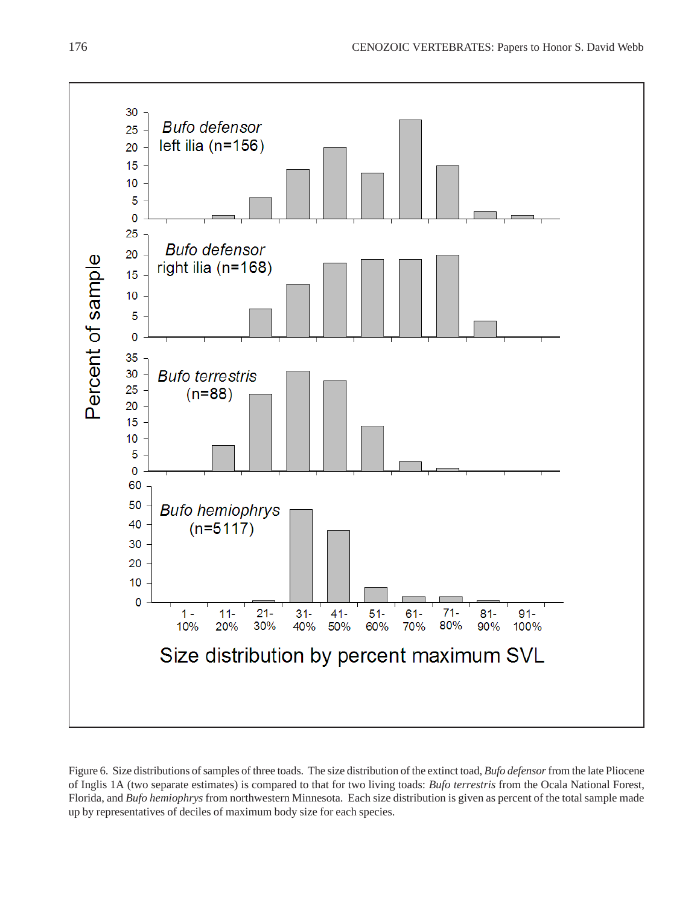

Figure 6. Size distributions of samples of three toads. The size distribution of the extinct toad, *Bufo defensor* from the late Pliocene of Inglis 1A (two separate estimates) is compared to that for two living toads: *Bufo terrestris* from the Ocala National Forest, Florida, and *Bufo hemiophrys* from northwestern Minnesota. Each size distribution is given as percent of the total sample made up by representatives of deciles of maximum body size for each species.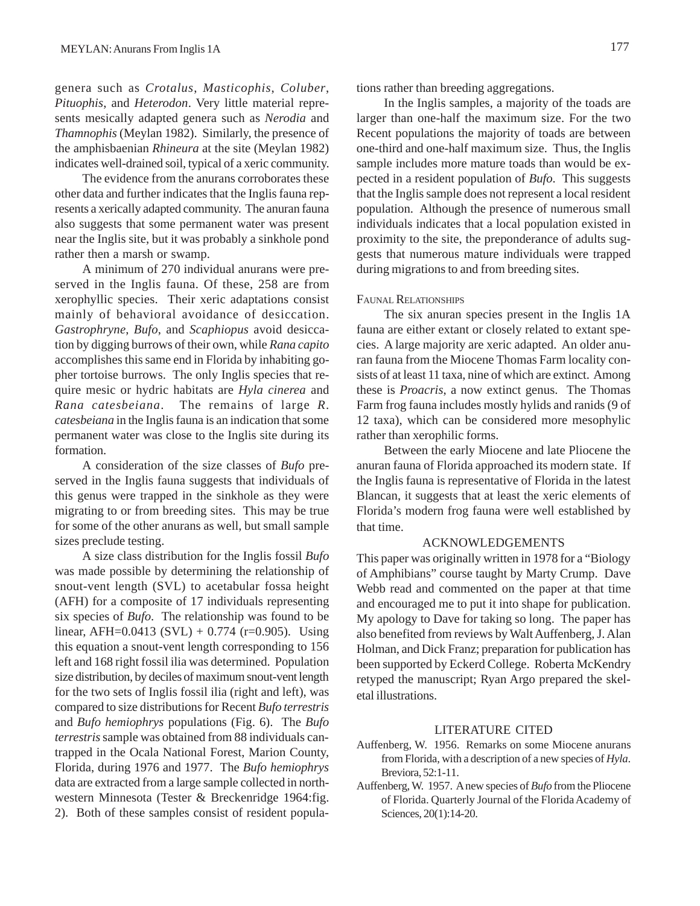genera such as *Crotalus*, *Masticophis*, *Coluber*, *Pituophis*, and *Heterodon*. Very little material represents mesically adapted genera such as *Nerodia* and *Thamnophis* (Meylan 1982). Similarly, the presence of the amphisbaenian *Rhineura* at the site (Meylan 1982) indicates well-drained soil, typical of a xeric community.

The evidence from the anurans corroborates these other data and further indicates that the Inglis fauna represents a xerically adapted community. The anuran fauna also suggests that some permanent water was present near the Inglis site, but it was probably a sinkhole pond rather then a marsh or swamp.

A minimum of 270 individual anurans were preserved in the Inglis fauna. Of these, 258 are from xerophyllic species. Their xeric adaptations consist mainly of behavioral avoidance of desiccation. *Gastrophryne*, *Bufo*, and *Scaphiopus* avoid desiccation by digging burrows of their own, while *Rana capito* accomplishes this same end in Florida by inhabiting gopher tortoise burrows. The only Inglis species that require mesic or hydric habitats are *Hyla cinerea* and *Rana catesbeiana*. The remains of large *R*. *catesbeiana* in the Inglis fauna is an indication that some permanent water was close to the Inglis site during its formation.

A consideration of the size classes of *Bufo* preserved in the Inglis fauna suggests that individuals of this genus were trapped in the sinkhole as they were migrating to or from breeding sites. This may be true for some of the other anurans as well, but small sample sizes preclude testing.

A size class distribution for the Inglis fossil *Bufo* was made possible by determining the relationship of snout-vent length (SVL) to acetabular fossa height (AFH) for a composite of 17 individuals representing six species of *Bufo*. The relationship was found to be linear, AFH=0.0413 (SVL) + 0.774 (r=0.905). Using this equation a snout-vent length corresponding to 156 left and 168 right fossil ilia was determined. Population size distribution, by deciles of maximum snout-vent length for the two sets of Inglis fossil ilia (right and left), was compared to size distributions for Recent *Bufo terrestris* and *Bufo hemiophrys* populations (Fig. 6). The *Bufo terrestris* sample was obtained from 88 individuals cantrapped in the Ocala National Forest, Marion County, Florida, during 1976 and 1977. The *Bufo hemiophrys* data are extracted from a large sample collected in northwestern Minnesota (Tester & Breckenridge 1964:fig. 2). Both of these samples consist of resident populations rather than breeding aggregations.

In the Inglis samples, a majority of the toads are larger than one-half the maximum size. For the two Recent populations the majority of toads are between one-third and one-half maximum size. Thus, the Inglis sample includes more mature toads than would be expected in a resident population of *Bufo*. This suggests that the Inglis sample does not represent a local resident population. Although the presence of numerous small individuals indicates that a local population existed in proximity to the site, the preponderance of adults suggests that numerous mature individuals were trapped during migrations to and from breeding sites.

#### FAUNAL RELATIONSHIPS

The six anuran species present in the Inglis 1A fauna are either extant or closely related to extant species. A large majority are xeric adapted. An older anuran fauna from the Miocene Thomas Farm locality consists of at least 11 taxa, nine of which are extinct. Among these is *Proacris*, a now extinct genus. The Thomas Farm frog fauna includes mostly hylids and ranids (9 of 12 taxa), which can be considered more mesophylic rather than xerophilic forms.

Between the early Miocene and late Pliocene the anuran fauna of Florida approached its modern state. If the Inglis fauna is representative of Florida in the latest Blancan, it suggests that at least the xeric elements of Florida's modern frog fauna were well established by that time.

### ACKNOWLEDGEMENTS

This paper was originally written in 1978 for a "Biology of Amphibians" course taught by Marty Crump. Dave Webb read and commented on the paper at that time and encouraged me to put it into shape for publication. My apology to Dave for taking so long. The paper has also benefited from reviews by Walt Auffenberg, J. Alan Holman, and Dick Franz; preparation for publication has been supported by Eckerd College. Roberta McKendry retyped the manuscript; Ryan Argo prepared the skeletal illustrations.

### LITERATURE CITED

- Auffenberg, W. 1956. Remarks on some Miocene anurans from Florida, with a description of a new species of *Hyla*. Breviora, 52:1-11.
- Auffenberg, W. 1957. A new species of *Bufo* from the Pliocene of Florida. Quarterly Journal of the Florida Academy of Sciences, 20(1):14-20.